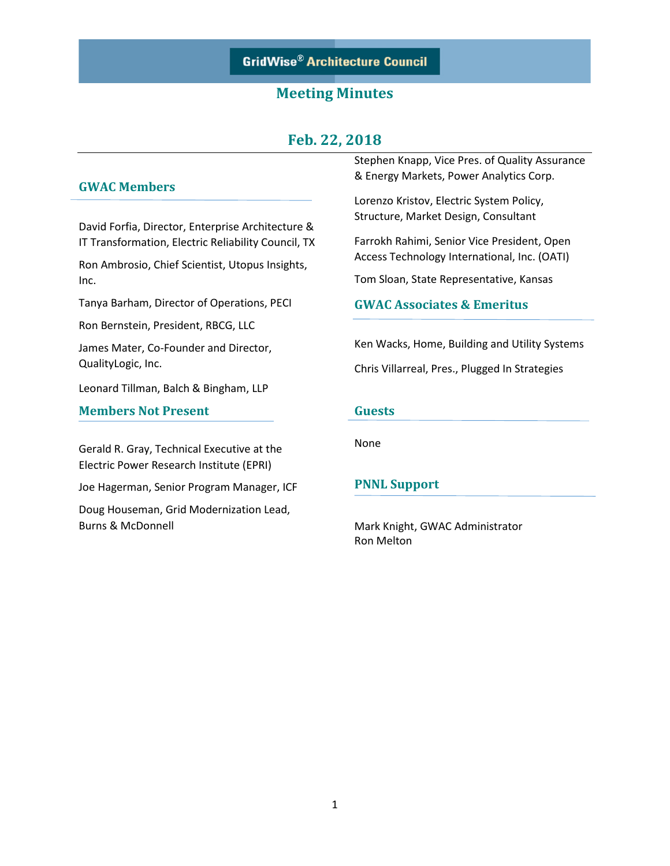# **GridWise® Architecture Council**

## **Meeting Minutes**

## **Feb. 22, 2018**

### **GWAC Members**

David Forfia, Director, Enterprise Architecture & IT Transformation, Electric Reliability Council, TX

Ron Ambrosio, Chief Scientist, Utopus Insights, Inc.

Tanya Barham, Director of Operations, PECI

Ron Bernstein, President, RBCG, LLC

James Mater, Co-Founder and Director, QualityLogic, Inc.

Leonard Tillman, Balch & Bingham, LLP

### **Members Not Present**

Gerald R. Gray, Technical Executive at the Electric Power Research Institute (EPRI)

Joe Hagerman, Senior Program Manager, ICF

Doug Houseman, Grid Modernization Lead, Burns & McDonnell

Stephen Knapp, Vice Pres. of Quality Assurance & Energy Markets, Power Analytics Corp.

Lorenzo Kristov, Electric System Policy, Structure, Market Design, Consultant

Farrokh Rahimi, Senior Vice President, Open Access Technology International, Inc. (OATI)

Tom Sloan, State Representative, Kansas

### **GWAC Associates & Emeritus**

Ken Wacks, Home, Building and Utility Systems

Chris Villarreal, Pres., Plugged In Strategies

#### **Guests**

None

#### **PNNL Support**

Mark Knight, GWAC Administrator Ron Melton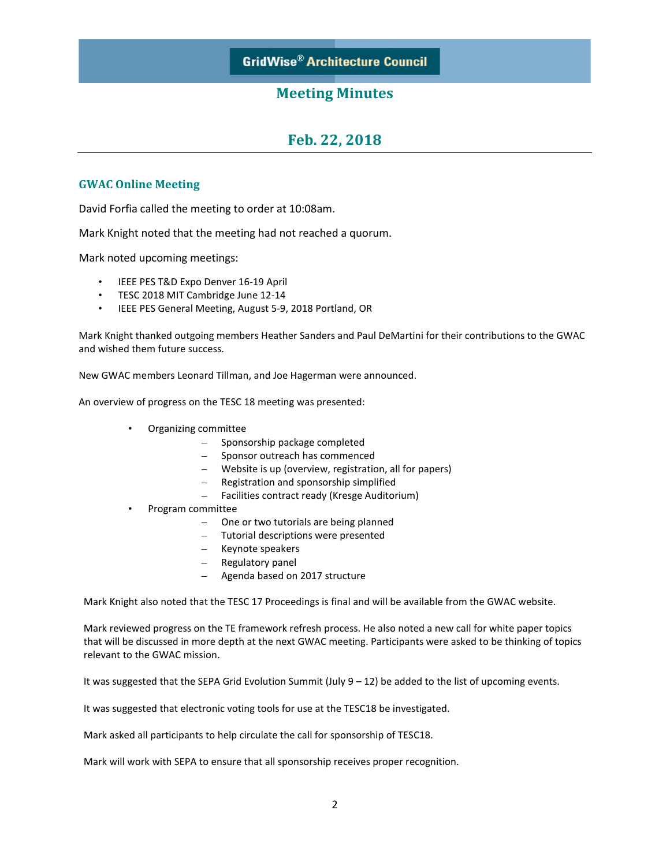### **Meeting Minutes**

# **Feb. 22, 2018**

### **GWAC Online Meeting**

David Forfia called the meeting to order at 10:08am.

Mark Knight noted that the meeting had not reached a quorum.

Mark noted upcoming meetings:

- IEEE PES T&D Expo Denver 16-19 April
- TESC 2018 MIT Cambridge June 12-14
- IEEE PES General Meeting, August 5-9, 2018 Portland, OR

Mark Knight thanked outgoing members Heather Sanders and Paul DeMartini for their contributions to the GWAC and wished them future success.

New GWAC members Leonard Tillman, and Joe Hagerman were announced.

An overview of progress on the TESC 18 meeting was presented:

- Organizing committee
	- Sponsorship package completed
	- Sponsor outreach has commenced
	- Website is up (overview, registration, all for papers)
	- Registration and sponsorship simplified
	- Facilities contract ready (Kresge Auditorium)
- Program committee
	- One or two tutorials are being planned
	- Tutorial descriptions were presented
	- Keynote speakers
	- Regulatory panel
		- Agenda based on 2017 structure

Mark Knight also noted that the TESC 17 Proceedings is final and will be available from the GWAC website.

Mark reviewed progress on the TE framework refresh process. He also noted a new call for white paper topics that will be discussed in more depth at the next GWAC meeting. Participants were asked to be thinking of topics relevant to the GWAC mission.

It was suggested that the SEPA Grid Evolution Summit (July  $9 - 12$ ) be added to the list of upcoming events.

It was suggested that electronic voting tools for use at the TESC18 be investigated.

Mark asked all participants to help circulate the call for sponsorship of TESC18.

Mark will work with SEPA to ensure that all sponsorship receives proper recognition.